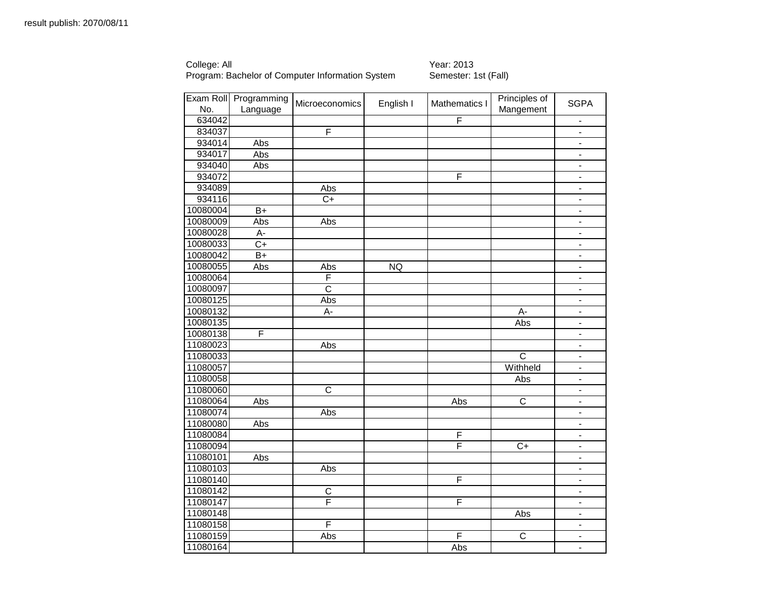College: All Year: 2013

| Exam Roll | Programming     | Microeconomics        | English I | Mathematics I           | Principles of         | <b>SGPA</b>                  |
|-----------|-----------------|-----------------------|-----------|-------------------------|-----------------------|------------------------------|
| No.       | Language        |                       |           |                         | Mangement             |                              |
| 634042    |                 |                       |           | F                       |                       |                              |
| 834037    |                 | F                     |           |                         |                       | $\frac{1}{2}$                |
| 934014    | Abs             |                       |           |                         |                       | $\blacksquare$               |
| 934017    | Abs             |                       |           |                         |                       | $\blacksquare$               |
| 934040    | Abs             |                       |           |                         |                       | $\qquad \qquad \blacksquare$ |
| 934072    |                 |                       |           | $\overline{\mathsf{F}}$ |                       | $\frac{1}{2}$                |
| 934089    |                 | Abs                   |           |                         |                       | $\overline{a}$               |
| 934116    |                 | $C+$                  |           |                         |                       | $\overline{\phantom{0}}$     |
| 10080004  | $\overline{B+}$ |                       |           |                         |                       | $\overline{\phantom{0}}$     |
| 10080009  | Abs             | Abs                   |           |                         |                       | $\blacksquare$               |
| 10080028  | А-              |                       |           |                         |                       | $\qquad \qquad \blacksquare$ |
| 10080033  | $\overline{C+}$ |                       |           |                         |                       | $\blacksquare$               |
| 10080042  | $B+$            |                       |           |                         |                       | $\blacksquare$               |
| 10080055  | Abs             | Abs                   | NQ        |                         |                       | $\blacksquare$               |
| 10080064  |                 | F                     |           |                         |                       | $\frac{1}{2}$                |
| 10080097  |                 | $\overline{\text{c}}$ |           |                         |                       | $\qquad \qquad \blacksquare$ |
| 10080125  |                 | Abs                   |           |                         |                       | $\qquad \qquad \blacksquare$ |
| 10080132  |                 | A-                    |           |                         | А-                    | $\overline{a}$               |
| 10080135  |                 |                       |           |                         | Abs                   | $\blacksquare$               |
| 10080138  | F               |                       |           |                         |                       | -                            |
| 11080023  |                 | Abs                   |           |                         |                       | $\blacksquare$               |
| 11080033  |                 |                       |           |                         | $\overline{\text{c}}$ | $\frac{1}{2}$                |
| 11080057  |                 |                       |           |                         | Withheld              |                              |
| 11080058  |                 |                       |           |                         | Abs                   | $\blacksquare$               |
| 11080060  |                 | $\mathsf C$           |           |                         |                       | $\blacksquare$               |
| 11080064  | Abs             |                       |           | Abs                     | $\overline{C}$        | $\qquad \qquad \blacksquare$ |
| 11080074  |                 | Abs                   |           |                         |                       | $\blacksquare$               |
| 11080080  | Abs             |                       |           |                         |                       | $\qquad \qquad \blacksquare$ |
| 11080084  |                 |                       |           | F                       |                       | $\overline{\phantom{0}}$     |
| 11080094  |                 |                       |           | F                       | $C+$                  | $\overline{\phantom{0}}$     |
| 11080101  | Abs             |                       |           |                         |                       | $\qquad \qquad \blacksquare$ |
| 11080103  |                 | Abs                   |           |                         |                       | $\qquad \qquad \blacksquare$ |
| 11080140  |                 |                       |           | $\overline{\mathsf{F}}$ |                       | $\frac{1}{2}$                |
| 11080142  |                 | $\overline{C}$        |           |                         |                       | $\blacksquare$               |
| 11080147  |                 | F                     |           | F                       |                       | $\overline{\phantom{0}}$     |
| 11080148  |                 |                       |           |                         | Abs                   | $\blacksquare$               |
| 11080158  |                 | F                     |           |                         |                       | $\frac{1}{2}$                |
| 11080159  |                 | Abs                   |           | F                       | $\overline{C}$        | $\overline{\phantom{0}}$     |
| 11080164  |                 |                       |           | Abs                     |                       | $\blacksquare$               |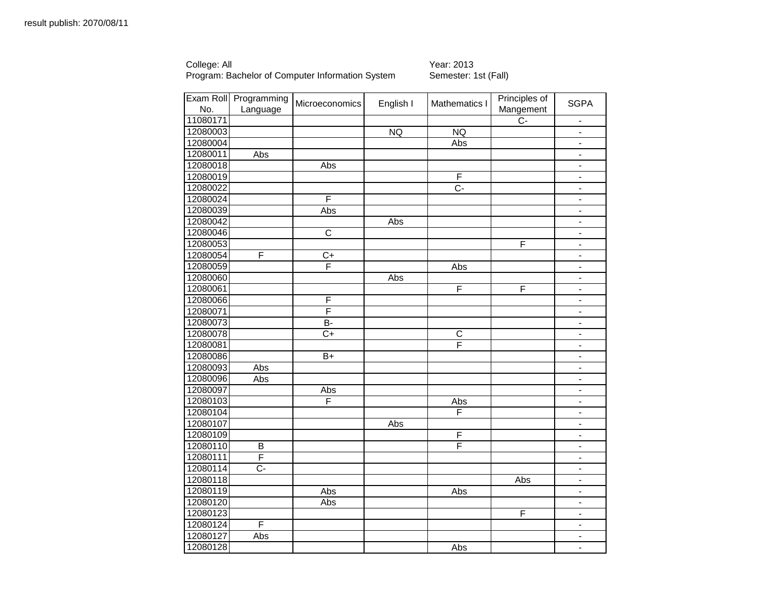College: All Year: 2013

| No.      | Exam Roll Programming<br>Language | Microeconomics          | English I | Mathematics I    | Principles of<br>Mangement | <b>SGPA</b>                  |
|----------|-----------------------------------|-------------------------|-----------|------------------|----------------------------|------------------------------|
| 11080171 |                                   |                         |           |                  | $\overline{C}$             | $\blacksquare$               |
| 12080003 |                                   |                         | NQ        | <b>NQ</b>        |                            | $\blacksquare$               |
| 12080004 |                                   |                         |           | Abs              |                            | $\qquad \qquad \blacksquare$ |
| 12080011 | Abs                               |                         |           |                  |                            | $\blacksquare$               |
| 12080018 |                                   | Abs                     |           |                  |                            | $\blacksquare$               |
| 12080019 |                                   |                         |           | F                |                            |                              |
| 12080022 |                                   |                         |           | $\overline{C}$ - |                            | $\blacksquare$               |
| 12080024 |                                   | F                       |           |                  |                            | $\blacksquare$               |
| 12080039 |                                   | Abs                     |           |                  |                            | $\qquad \qquad \blacksquare$ |
| 12080042 |                                   |                         | Abs       |                  |                            | $\overline{\phantom{a}}$     |
| 12080046 |                                   | $\overline{\text{c}}$   |           |                  |                            | $\blacksquare$               |
| 12080053 |                                   |                         |           |                  | F                          | $\overline{a}$               |
| 12080054 | F                                 | $C+$                    |           |                  |                            | $\overline{\phantom{0}}$     |
| 12080059 |                                   | F                       |           | Abs              |                            | $\overline{\phantom{a}}$     |
| 12080060 |                                   |                         | Abs       |                  |                            | $\blacksquare$               |
| 12080061 |                                   |                         |           | F                | F                          | $\overline{\phantom{a}}$     |
| 12080066 |                                   | F                       |           |                  |                            |                              |
| 12080071 |                                   | $\overline{\mathsf{F}}$ |           |                  |                            | $\blacksquare$               |
| 12080073 |                                   | $\overline{B}$          |           |                  |                            | $\blacksquare$               |
| 12080078 |                                   | $C+$                    |           | $\overline{C}$   |                            | $\qquad \qquad \blacksquare$ |
| 12080081 |                                   |                         |           | F                |                            | $\blacksquare$               |
| 12080086 |                                   | $\overline{B+}$         |           |                  |                            | $\blacksquare$               |
| 12080093 | Abs                               |                         |           |                  |                            | $\overline{a}$               |
| 12080096 | Abs                               |                         |           |                  |                            | $\overline{\phantom{a}}$     |
| 12080097 |                                   | Abs                     |           |                  |                            | $\blacksquare$               |
| 12080103 |                                   | F                       |           | Abs              |                            | $\blacksquare$               |
| 12080104 |                                   |                         |           | F                |                            | $\blacksquare$               |
| 12080107 |                                   |                         | Abs       |                  |                            | $\overline{\phantom{0}}$     |
| 12080109 |                                   |                         |           | F                |                            | $\blacksquare$               |
| 12080110 | B                                 |                         |           | F                |                            | $\overline{\phantom{a}}$     |
| 12080111 | F                                 |                         |           |                  |                            | $\qquad \qquad \blacksquare$ |
| 12080114 | $\overline{C}$                    |                         |           |                  |                            | $\blacksquare$               |
| 12080118 |                                   |                         |           |                  | Abs                        | $\blacksquare$               |
| 12080119 |                                   | Abs                     |           | Abs              |                            | $\qquad \qquad \blacksquare$ |
| 12080120 |                                   | Abs                     |           |                  |                            | $\blacksquare$               |
| 12080123 |                                   |                         |           |                  | F                          | $\blacksquare$               |
| 12080124 | F                                 |                         |           |                  |                            | $\blacksquare$               |
| 12080127 | Abs                               |                         |           |                  |                            | $\qquad \qquad \blacksquare$ |
| 12080128 |                                   |                         |           | Abs              |                            | $\blacksquare$               |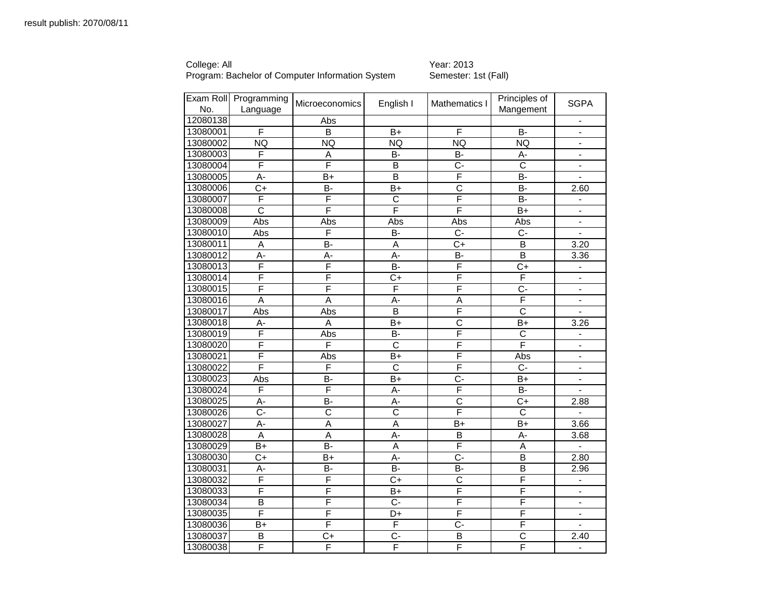College: All Year: 2013

|          | Exam Roll Programming | <b>Microeconomics</b> | English I             | Mathematics I           | Principles of           | <b>SGPA</b>                  |
|----------|-----------------------|-----------------------|-----------------------|-------------------------|-------------------------|------------------------------|
| No.      | Language              |                       |                       |                         | Mangement               |                              |
| 12080138 |                       | Abs                   |                       |                         |                         |                              |
| 13080001 | F                     | B                     | $B+$                  | E                       | <b>B-</b>               | $\Delta$                     |
| 13080002 | <b>NQ</b>             | <b>NQ</b>             | <b>NQ</b>             | <b>NQ</b>               | <b>NQ</b>               | $\overline{\phantom{0}}$     |
| 13080003 | F                     | Α                     | B-                    | B-                      | A-                      | $\blacksquare$               |
| 13080004 | F                     | F                     | B                     | $\overline{C}$ -        | $\overline{\text{c}}$   | $\blacksquare$               |
| 13080005 | А-                    | B+                    | B                     | $\overline{\mathsf{F}}$ | <b>B-</b>               | $\blacksquare$               |
| 13080006 | $\overline{C}$ +      | B-                    | B+                    | $\overline{c}$          | $\overline{B}$          | 2.60                         |
| 13080007 | F                     | F                     | $\overline{C}$        | F                       | <b>B-</b>               | $\blacksquare$               |
| 13080008 | $\overline{\text{c}}$ | F                     | F                     | F                       | $\overline{B+}$         | $\blacksquare$               |
| 13080009 | Abs                   | Abs                   | Abs                   | Abs                     | Abs                     |                              |
| 13080010 | Abs                   | F                     | B-                    | $C -$                   | $C -$                   | $\blacksquare$               |
| 13080011 | Α                     | $\overline{B}$        | $\overline{A}$        | $\overline{C+}$         | $\overline{\mathsf{B}}$ | 3.20                         |
| 13080012 | $A -$                 | A-                    | A-                    | B-                      | $\overline{B}$          | 3.36                         |
| 13080013 | F                     | F                     | B-                    | F                       | C+                      | $\blacksquare$               |
| 13080014 | F                     | F                     | C+                    | F                       | F                       | $\qquad \qquad \blacksquare$ |
| 13080015 | F                     | F                     | F                     | F                       | Ċ-                      |                              |
| 13080016 | $\overline{A}$        | $\overline{A}$        | A-                    | $\overline{A}$          | F                       | $\blacksquare$               |
| 13080017 | Abs                   | Abs                   | $\overline{B}$        | F                       | $\overline{\text{c}}$   |                              |
| 13080018 | A-                    | A                     | $B+$                  | $\overline{\text{c}}$   | $B+$                    | 3.26                         |
| 13080019 | F                     | Abs                   | B-                    | F                       | C                       | $\blacksquare$               |
| 13080020 | F                     | F                     | $\overline{\text{c}}$ | F                       | F                       | $\blacksquare$               |
| 13080021 | F                     | Abs                   | $\overline{B+}$       | F                       | Abs                     | $\blacksquare$               |
| 13080022 | F                     | F                     | $\overline{\text{c}}$ | F                       | $C -$                   | $\blacksquare$               |
| 13080023 | Abs                   | $\overline{B}$        | $B+$                  | $\overline{C}$          | $B+$                    |                              |
| 13080024 | F                     | F                     | A-                    | F                       | <b>B-</b>               | $\blacksquare$               |
| 13080025 | A-                    | B-                    | A-                    | C                       | $C+$                    | 2.88                         |
| 13080026 | $C -$                 | $\overline{\text{c}}$ | $\overline{\text{c}}$ | F                       | $\overline{\text{c}}$   | $\blacksquare$               |
| 13080027 | A-                    | A                     | A                     | $B+$                    | $B+$                    | 3.66                         |
| 13080028 | $\overline{A}$        | $\overline{A}$        | $\overline{A}$        | $\overline{B}$          | A-                      | 3.68                         |
| 13080029 | $B+$                  | <b>B-</b>             | A                     | F                       | $\overline{A}$          | $\mathbf{L}$                 |
| 13080030 | C+                    | B+                    | A-                    | $C -$                   | B                       | 2.80                         |
| 13080031 | А-                    | B-                    | <b>B-</b>             | B-                      | В                       | 2.96                         |
| 13080032 | F                     | F                     | $\overline{C+}$       | $\overline{C}$          | F                       |                              |
| 13080033 | F                     | F                     | $\overline{B+}$       | F                       | F                       | $\blacksquare$               |
| 13080034 | B                     | F                     | $C -$                 | F                       | F                       |                              |
| 13080035 | F                     | F                     | D+                    | F                       | F                       | ä,                           |
| 13080036 | B+                    | F                     | F                     | $C -$                   | F                       | $\blacksquare$               |
| 13080037 | B                     | C+                    | $C -$                 | B                       | $\mathbf C$             | 2.40                         |
| 13080038 | F                     | F                     | F                     | F                       | F                       | $\blacksquare$               |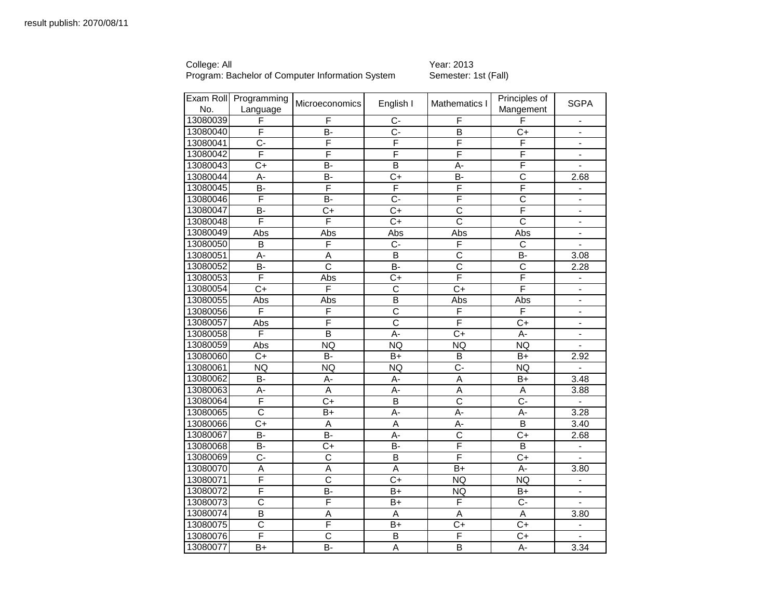College: All Year: 2013

| No.      | Exam Roll Programming<br>Language | Microeconomics          | English I             | Mathematics I         | Principles of<br>Mangement | <b>SGPA</b>                  |
|----------|-----------------------------------|-------------------------|-----------------------|-----------------------|----------------------------|------------------------------|
| 13080039 | F                                 | F                       | $C -$                 | F                     | F                          | $\blacksquare$               |
| 13080040 | F                                 | $\overline{B}$          | $\overline{C}$        | $\overline{B}$        | $C+$                       |                              |
| 13080041 | $C -$                             | F                       | F                     | F                     | F                          | $\blacksquare$               |
| 13080042 | F                                 | F                       | F                     | F                     | F                          | $\blacksquare$               |
| 13080043 | $C+$                              | B-                      | $\overline{B}$        | A-                    | F                          |                              |
| 13080044 | A-                                | <b>B-</b>               | $C+$                  | <b>B-</b>             | $\overline{\text{c}}$      | 2.68                         |
| 13080045 | B-                                | F                       | F                     | F                     | F                          |                              |
| 13080046 | F                                 | B-                      | $C -$                 | F                     | $\overline{\text{c}}$      | $\blacksquare$               |
| 13080047 | B-                                | $C+$                    | C+                    | $\overline{\text{c}}$ | F                          | $\blacksquare$               |
| 13080048 | F                                 | F                       | $C+$                  | $\overline{\text{c}}$ | $\mathsf{C}$               | $\blacksquare$               |
| 13080049 | Abs                               | Abs                     | Abs                   | Abs                   | Abs                        |                              |
| 13080050 | $\overline{B}$                    | F                       | $\overline{C}$        | F                     | $\overline{C}$             |                              |
| 13080051 | A-                                | $\overline{A}$          | $\overline{B}$        | $\overline{\text{c}}$ | <b>B-</b>                  | 3.08                         |
| 13080052 | B-                                | $\overline{\text{c}}$   | $\overline{B}$        | $\overline{\text{c}}$ | $\overline{C}$             | 2.28                         |
| 13080053 | F                                 | Abs                     | $C+$                  | F                     | F                          | $\blacksquare$               |
| 13080054 | $\overline{C+}$                   | F                       | $\overline{\text{c}}$ | $\overline{C}$        | F                          |                              |
| 13080055 | Abs                               | Abs                     | B                     | Abs                   | Abs                        | $\blacksquare$               |
| 13080056 | F                                 | F                       | $\overline{\text{c}}$ | F                     | F                          | $\qquad \qquad \blacksquare$ |
| 13080057 | Abs                               | F                       | $\overline{\text{c}}$ | F                     | $\overline{C}$             | $\blacksquare$               |
| 13080058 | F                                 | $\overline{\mathsf{B}}$ | A-                    | C+                    | $A -$                      | $\blacksquare$               |
| 13080059 | Abs                               | <b>NQ</b>               | <b>NQ</b>             | NQ                    | NQ                         |                              |
| 13080060 | $\overline{C+}$                   | $\overline{B}$          | $\overline{B+}$       | $\overline{B}$        | $\overline{B+}$            | 2.92                         |
| 13080061 | <b>NQ</b>                         | <b>NQ</b>               | <b>NQ</b>             | $\overline{C}$        | <b>NQ</b>                  | $\blacksquare$               |
| 13080062 | B-                                | A-                      | А-                    | A                     | B+                         | 3.48                         |
| 13080063 | A-                                | A                       | A-                    | A                     | A                          | 3.88                         |
| 13080064 | F                                 | $C+$                    | $\overline{B}$        | $\overline{\text{c}}$ | $\overline{C}$             | $\blacksquare$               |
| 13080065 | $\overline{\text{c}}$             | B+                      | A-                    | A-                    | A-                         | 3.28                         |
| 13080066 | C+                                | A                       | A                     | A-                    | B                          | 3.40                         |
| 13080067 | B-                                | $\overline{B}$          | $\overline{A}$ -      | $\overline{\text{c}}$ | $\overline{C+}$            | 2.68                         |
| 13080068 | <b>B-</b>                         | $C+$                    | <b>B-</b>             | F                     | B                          | $\blacksquare$               |
| 13080069 | Ċ-                                | $\overline{\text{c}}$   | $\overline{B}$        | F                     | $C+$                       | $\blacksquare$               |
| 13080070 | Α                                 | Α                       | A                     | B+                    | А-                         | 3.80                         |
| 13080071 | F                                 | $\overline{\text{c}}$   | $C+$                  | <b>NQ</b>             | <b>NQ</b>                  |                              |
| 13080072 | F                                 | $\overline{B}$          | $B+$                  | <b>NQ</b>             | $B+$                       |                              |
| 13080073 | $\overline{\text{c}}$             | F                       | $B+$                  | F                     | $\overline{C}$             |                              |
| 13080074 | $\overline{\mathsf{B}}$           | $\overline{A}$          | $\overline{A}$        | $\overline{A}$        | $\overline{A}$             | 3.80                         |
| 13080075 | $\overline{\text{c}}$             | F                       | B+                    | C+                    | $C+$                       |                              |
| 13080076 | F                                 | $\overline{\text{c}}$   | B                     | F                     | $C+$                       |                              |
| 13080077 | $\overline{B}$ +                  | $\overline{B}$          | $\overline{A}$        | $\overline{B}$        | $\overline{A}$             | 3.34                         |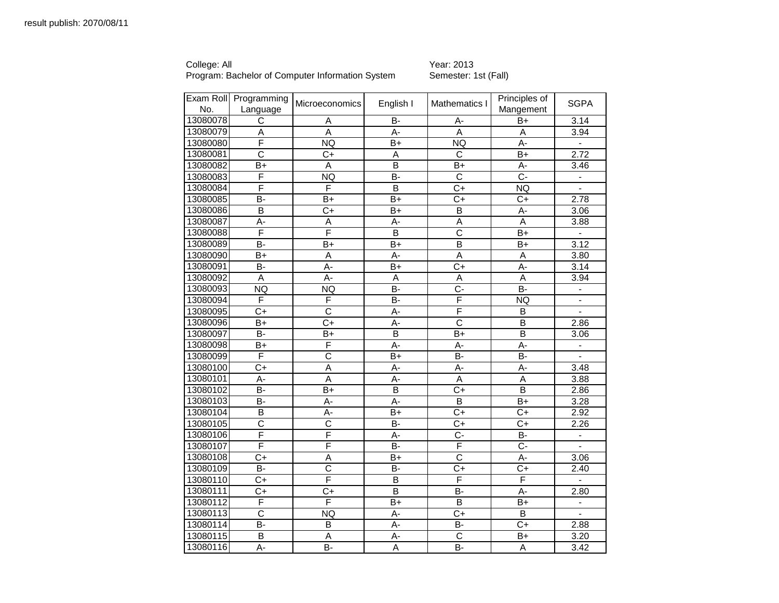College: All Year: 2013

|          | Exam Roll Programming   | Microeconomics        | English I               | Mathematics I         | Principles of    | <b>SGPA</b>    |
|----------|-------------------------|-----------------------|-------------------------|-----------------------|------------------|----------------|
| No.      | Language                |                       |                         |                       | Mangement        |                |
| 13080078 | С                       | Α                     | B-                      | A-                    | B+               | 3.14           |
| 13080079 | $\overline{\mathsf{A}}$ | $\overline{A}$        | A-                      | $\overline{A}$        | $\overline{A}$   | 3.94           |
| 13080080 | F                       | NQ                    | $B+$                    | <b>NQ</b>             | A-               | $\blacksquare$ |
| 13080081 | C                       | $C+$                  | A                       | C                     | B+               | 2.72           |
| 13080082 | B+                      | A                     | B                       | $B+$                  | A-               | 3.46           |
| 13080083 | F                       | <b>NQ</b>             | B-                      | $\overline{\text{c}}$ | $\overline{C}$   | $\blacksquare$ |
| 13080084 | F                       | F                     | $\overline{B}$          | $\overline{C+}$       | <b>NQ</b>        |                |
| 13080085 | B-                      | B+                    | $B+$                    | $C+$                  | $C+$             | 2.78           |
| 13080086 | B                       | $C+$                  | $B+$                    | B                     | А-               | 3.06           |
| 13080087 | A-                      | Α                     | А-                      | Α                     | A                | 3.88           |
| 13080088 | F                       | F                     | B                       | $\overline{C}$        | $B+$             | $\blacksquare$ |
| 13080089 | $\overline{B}$          | $B+$                  | $B+$                    | $\overline{B}$        | $B+$             | 3.12           |
| 13080090 | $B+$                    | $\overline{A}$        | A-                      | $\overline{A}$        | $\overline{A}$   | 3.80           |
| 13080091 | B-                      | A-                    | $\overline{B+}$         | $\overline{C+}$       | A-               | 3.14           |
| 13080092 | A                       | A-                    | A                       | Α                     | A                | 3.94           |
| 13080093 | NQ                      | NQ                    | $\overline{B}$          | $\overline{C}$ -      | $\overline{B}$   |                |
| 13080094 | F                       | F                     | <b>B-</b>               | F                     | <b>NQ</b>        |                |
| 13080095 | $C+$                    | $\overline{\text{c}}$ | А-                      | F                     | B                |                |
| 13080096 | $B+$                    | $\overline{C}$        | A-                      | $\overline{\text{c}}$ | $\overline{B}$   | 2.86           |
| 13080097 | В-                      | B+                    | B                       | B+                    | B                | 3.06           |
| 13080098 | B+                      | F                     | А-                      | А-                    | A-               |                |
| 13080099 | F                       | $\overline{\text{c}}$ | $\overline{B}$ +        | <b>B-</b>             | $\overline{B}$   | $\blacksquare$ |
| 13080100 | $C+$                    | $\overline{A}$        | A-                      | A-                    | A-               | 3.48           |
| 13080101 | A-                      | $\overline{A}$        | A-                      | A                     | $\overline{A}$   | 3.88           |
| 13080102 | B-                      | $B+$                  | $\overline{B}$          | $C+$                  | $\overline{B}$   | 2.86           |
| 13080103 | B-                      | A-                    | A-                      | $\overline{B}$        | $B+$             | 3.28           |
| 13080104 | B                       | A-                    | $B+$                    | $C+$                  | $\overline{C}$   | 2.92           |
| 13080105 | $\overline{\text{c}}$   | $\overline{\text{c}}$ | <b>B-</b>               | $C+$                  | $C+$             | 2.26           |
| 13080106 | F                       | F                     | $\overline{A}$          | $\overline{C}$        | $\overline{B}$   |                |
| 13080107 | F                       | F                     | <b>B-</b>               | F                     | $C -$            | $\mathbf{r}$   |
| 13080108 | $C+$                    | Α                     | $B+$                    | $\overline{\text{c}}$ | A-               | 3.06           |
| 13080109 | B-                      | $\overline{\text{c}}$ | B-                      | $C+$                  | $C+$             | 2.40           |
| 13080110 | $C+$                    | F                     | B                       | F                     | F                |                |
| 13080111 | $C+$                    | $\overline{C}$        | $\overline{\mathsf{B}}$ | $\overline{B}$        | $\overline{A}$ - | 2.80           |
| 13080112 | F                       | F                     | $B+$                    | B                     | $B+$             |                |
| 13080113 | $\overline{\text{c}}$   | NQ                    | $\overline{A}$          | $\overline{C+}$       | $\overline{B}$   | ÷.             |
| 13080114 | B-                      | B                     | А-                      | B-                    | $C+$             | 2.88           |
| 13080115 | B                       | Α                     | А-                      | $\overline{\text{c}}$ | $B+$             | 3.20           |
| 13080116 | $A -$                   | $\overline{B}$        | $\overline{A}$          | $\overline{B}$        | $\overline{A}$   | 3.42           |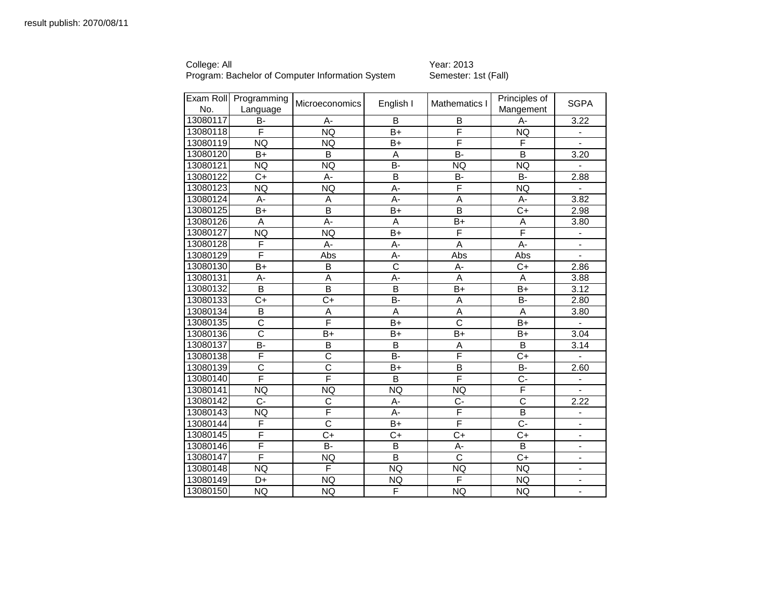College: All Year: 2013

|          | Exam Roll Programming   | <b>Microeconomics</b>   | English I               | Mathematics I         | Principles of         | <b>SGPA</b>              |
|----------|-------------------------|-------------------------|-------------------------|-----------------------|-----------------------|--------------------------|
| No.      | Language                |                         |                         |                       | Mangement             |                          |
| 13080117 | B-                      | А-                      | B                       | B                     | A-                    | 3.22                     |
| 13080118 | F                       | <b>NQ</b>               | $\overline{B+}$         | F                     | <b>NQ</b>             |                          |
| 13080119 | <b>NQ</b>               | <b>NQ</b>               | $B+$                    | F                     | F                     |                          |
| 13080120 | $B+$                    | B                       | $\overline{A}$          | $B -$                 | B                     | 3.20                     |
| 13080121 | NQ                      | <b>NQ</b>               | B-                      | <b>NQ</b>             | <b>NQ</b>             |                          |
| 13080122 | $C+$                    | А-                      | $\overline{\mathsf{B}}$ | <b>B-</b>             | $B -$                 | 2.88                     |
| 13080123 | NQ                      | <b>NQ</b>               | $A -$                   | F                     | <b>NQ</b>             |                          |
| 13080124 | A-                      | $\overline{A}$          | A-                      | $\overline{A}$        | A-                    | 3.82                     |
| 13080125 | $B+$                    | B                       | $B+$                    | $\overline{B}$        | $C+$                  | 2.98                     |
| 13080126 | А                       | $\overline{A}$ -        | $\overline{A}$          | $\overline{B+}$       | A                     | 3.80                     |
| 13080127 | <b>NQ</b>               | <b>NQ</b>               | $B+$                    | F                     | F                     |                          |
| 13080128 | F                       | A-                      | A-                      | $\overline{A}$        | $\overline{A}$ -      |                          |
| 13080129 | F                       | Abs                     | A-                      | Abs                   | Abs                   | $\blacksquare$           |
| 13080130 | $B+$                    | B                       | $\overline{\text{c}}$   | А-                    | $C+$                  | 2.86                     |
| 13080131 | A-                      | A                       | A-                      | A                     | A                     | 3.88                     |
| 13080132 | $\overline{\mathsf{B}}$ | B                       | $\overline{\mathsf{B}}$ | $B+$                  | B+                    | 3.12                     |
| 13080133 | $\overline{C}$          | $\overline{C}$          | B-                      | A                     | B-                    | 2.80                     |
| 13080134 | B                       | A                       | A                       | A                     | $\overline{A}$        | 3.80                     |
| 13080135 | $\overline{\text{c}}$   | F                       | $B+$                    | $\overline{\text{c}}$ | $B+$                  |                          |
| 13080136 | $\overline{\text{c}}$   | $B+$                    | B+                      | $B+$                  | $B+$                  | 3.04                     |
| 13080137 | $\overline{B}$          | $\overline{\mathsf{B}}$ | $\overline{B}$          | $\overline{A}$        | $\overline{B}$        | 3.14                     |
| 13080138 | F                       | $\overline{\text{c}}$   | $\overline{B}$          | F                     | $\overline{C}$        |                          |
| 13080139 | C                       | C                       | $B+$                    | B                     | <b>B-</b>             | 2.60                     |
| 13080140 | F                       | F                       | $\overline{B}$          | F                     | $\overline{C}$ -      | $\blacksquare$           |
| 13080141 | <b>NQ</b>               | <b>NQ</b>               | <b>NQ</b>               | <b>NQ</b>             | F                     |                          |
| 13080142 | $C-$                    | C                       | А-                      | $C -$                 | $\overline{\text{c}}$ | 2.22                     |
| 13080143 | <b>NQ</b>               | F                       | $A -$                   | F                     | $\overline{B}$        | $\blacksquare$           |
| 13080144 | F                       | C                       | $B+$                    | F                     | $C -$                 | $\blacksquare$           |
| 13080145 | F                       | $C+$                    | C+                      | $C+$                  | $C+$                  | $\overline{\phantom{0}}$ |
| 13080146 | F                       | B-                      | B                       | А-                    | B                     | $\overline{\phantom{0}}$ |
| 13080147 | F                       | <b>NQ</b>               | $\overline{B}$          | $\overline{\text{c}}$ | $\overline{C}$        | $\blacksquare$           |
| 13080148 | <b>NQ</b>               | F                       | NQ                      | <b>NQ</b>             | <b>NQ</b>             |                          |
| 13080149 | D+                      | <b>NQ</b>               | <b>NQ</b>               | F                     | <b>NQ</b>             |                          |
| 13080150 | <b>NQ</b>               | <b>NQ</b>               | F                       | <b>NQ</b>             | <b>NQ</b>             | ÷,                       |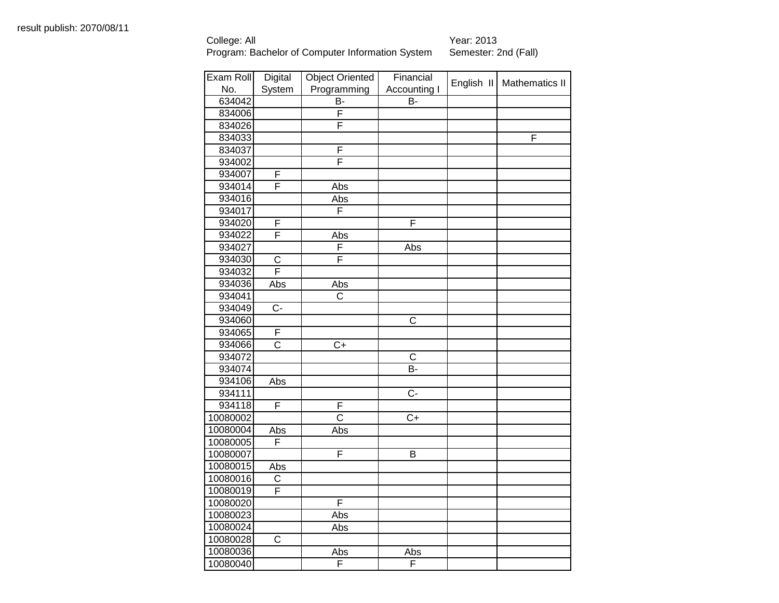| Exam Roll | Digital                 | <b>Object Oriented</b>  | Financial               |            |                       |
|-----------|-------------------------|-------------------------|-------------------------|------------|-----------------------|
| No.       | System                  | Programming             | Accounting I            | English II | <b>Mathematics II</b> |
| 634042    |                         | B-                      | B-                      |            |                       |
| 834006    |                         | $\overline{\mathsf{F}}$ |                         |            |                       |
| 834026    |                         | F                       |                         |            |                       |
| 834033    |                         |                         |                         |            | $\overline{F}$        |
| 834037    |                         | F                       |                         |            |                       |
| 934002    |                         | $\overline{\mathsf{F}}$ |                         |            |                       |
| 934007    | F                       |                         |                         |            |                       |
| 934014    | F                       | Abs                     |                         |            |                       |
| 934016    |                         | Abs                     |                         |            |                       |
| 934017    |                         | F                       |                         |            |                       |
| 934020    | F                       |                         | F                       |            |                       |
| 934022    | $\overline{\mathsf{F}}$ | Abs                     |                         |            |                       |
| 934027    |                         | F                       | Abs                     |            |                       |
| 934030    | C                       | F                       |                         |            |                       |
| 934032    | F                       |                         |                         |            |                       |
| 934036    | Abs                     | Abs                     |                         |            |                       |
| 934041    |                         | $\overline{\text{C}}$   |                         |            |                       |
| 934049    | $\overline{C}$          |                         |                         |            |                       |
| 934060    |                         |                         | $\overline{\text{c}}$   |            |                       |
| 934065    | F                       |                         |                         |            |                       |
| 934066    | $\overline{\text{c}}$   | $\overline{C}$ +        |                         |            |                       |
| 934072    |                         |                         | $\mathsf{C}$            |            |                       |
| 934074    |                         |                         | B-                      |            |                       |
| 934106    | Abs                     |                         |                         |            |                       |
| 934111    |                         |                         | $C -$                   |            |                       |
| 934118    | F                       | F                       |                         |            |                       |
| 10080002  |                         | $\overline{\text{c}}$   | $\overline{C+}$         |            |                       |
| 10080004  | Abs                     | Abs                     |                         |            |                       |
| 10080005  | $\overline{\mathsf{F}}$ |                         |                         |            |                       |
| 10080007  |                         | F                       | $\overline{\mathsf{B}}$ |            |                       |
| 10080015  | Abs                     |                         |                         |            |                       |
| 10080016  | C                       |                         |                         |            |                       |
| 10080019  | F                       |                         |                         |            |                       |
| 10080020  |                         | F                       |                         |            |                       |
| 10080023  |                         | Abs                     |                         |            |                       |
| 10080024  |                         | Abs                     |                         |            |                       |
| 10080028  | $\overline{C}$          |                         |                         |            |                       |
| 10080036  |                         | Abs                     | Abs                     |            |                       |
| 10080040  |                         | F                       | F                       |            |                       |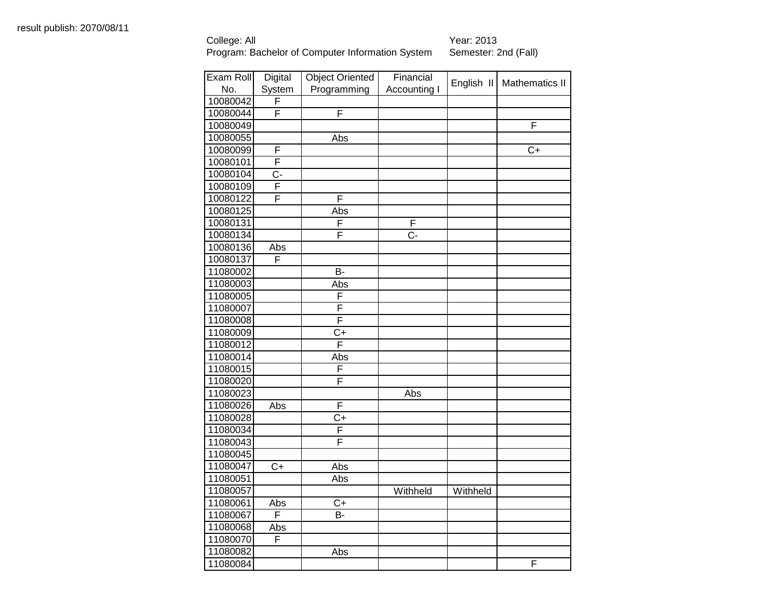| Exam Roll | Digital          | <b>Object Oriented</b> | Financial        |            |                       |
|-----------|------------------|------------------------|------------------|------------|-----------------------|
| No.       | System           | Programming            | Accounting I     | English II | <b>Mathematics II</b> |
| 10080042  | F                |                        |                  |            |                       |
| 10080044  | F                | F                      |                  |            |                       |
| 10080049  |                  |                        |                  |            | F                     |
| 10080055  |                  | Abs                    |                  |            |                       |
| 10080099  | F                |                        |                  |            | $\overline{C}$        |
| 10080101  | F                |                        |                  |            |                       |
| 10080104  | $\overline{C}$   |                        |                  |            |                       |
| 10080109  | F                |                        |                  |            |                       |
| 10080122  | F                | F                      |                  |            |                       |
| 10080125  |                  | Abs                    |                  |            |                       |
| 10080131  |                  | F                      | F                |            |                       |
| 10080134  |                  | F                      | $\overline{C}$ - |            |                       |
| 10080136  | Abs              |                        |                  |            |                       |
| 10080137  | $\overline{F}$   |                        |                  |            |                       |
| 11080002  |                  | B-                     |                  |            |                       |
| 11080003  |                  | Abs                    |                  |            |                       |
| 11080005  |                  | F                      |                  |            |                       |
| 11080007  |                  | F                      |                  |            |                       |
| 11080008  |                  | F                      |                  |            |                       |
| 11080009  |                  | $C+$                   |                  |            |                       |
| 11080012  |                  | F                      |                  |            |                       |
| 11080014  |                  | Abs                    |                  |            |                       |
| 11080015  |                  | F                      |                  |            |                       |
| 11080020  |                  | F                      |                  |            |                       |
| 11080023  |                  |                        | Abs              |            |                       |
| 11080026  | Abs              | F                      |                  |            |                       |
| 11080028  |                  | $\overline{C+}$        |                  |            |                       |
| 11080034  |                  | F                      |                  |            |                       |
| 11080043  |                  | F                      |                  |            |                       |
| 11080045  |                  |                        |                  |            |                       |
| 11080047  | $\overline{C}$ + | Abs                    |                  |            |                       |
| 11080051  |                  | Abs                    |                  |            |                       |
| 11080057  |                  |                        | Withheld         | Withheld   |                       |
| 11080061  | Abs              | $\overline{C}$         |                  |            |                       |
| 11080067  | F                | B-                     |                  |            |                       |
| 11080068  | Abs              |                        |                  |            |                       |
| 11080070  | F                |                        |                  |            |                       |
| 11080082  |                  | Abs                    |                  |            |                       |
| 11080084  |                  |                        |                  |            | F                     |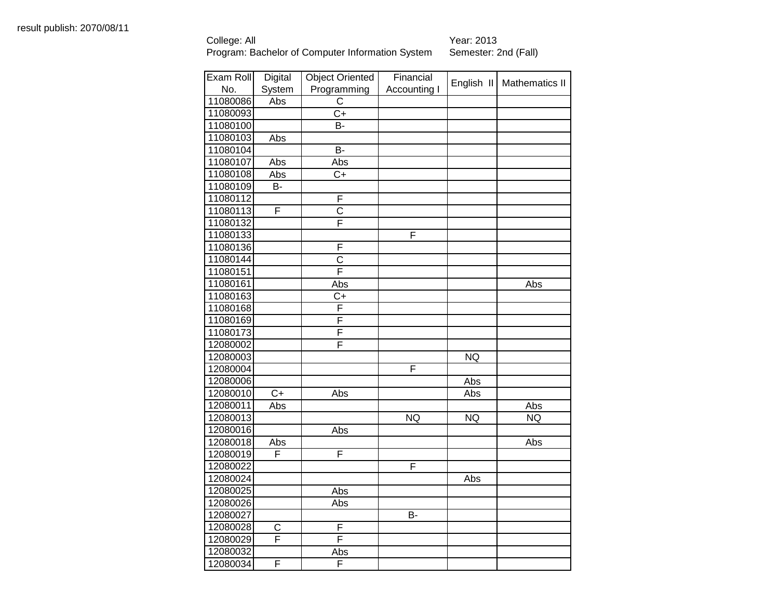| Exam Roll | Digital                 | <b>Object Oriented</b>  | Financial    |            |                |
|-----------|-------------------------|-------------------------|--------------|------------|----------------|
| No.       | System                  | Programming             | Accounting I | English II | Mathematics II |
| 11080086  | Abs                     | $\overline{\text{c}}$   |              |            |                |
| 11080093  |                         | $\overline{C+}$         |              |            |                |
| 11080100  |                         | <b>B-</b>               |              |            |                |
| 11080103  | Abs                     |                         |              |            |                |
| 11080104  |                         | <b>B-</b>               |              |            |                |
| 11080107  | Abs                     | Abs                     |              |            |                |
| 11080108  | Abs                     | $C+$                    |              |            |                |
| 11080109  | B-                      |                         |              |            |                |
| 11080112  |                         | F                       |              |            |                |
| 11080113  | F                       | $\overline{\text{c}}$   |              |            |                |
| 11080132  |                         | F                       |              |            |                |
| 11080133  |                         |                         | F            |            |                |
| 11080136  |                         | F                       |              |            |                |
| 11080144  |                         | C                       |              |            |                |
| 11080151  |                         | F                       |              |            |                |
| 11080161  |                         | Abs                     |              |            | Abs            |
| 11080163  |                         | C+                      |              |            |                |
| 11080168  |                         | $\overline{\mathsf{F}}$ |              |            |                |
| 11080169  |                         | F                       |              |            |                |
| 11080173  |                         | F                       |              |            |                |
| 12080002  |                         | F                       |              |            |                |
| 12080003  |                         |                         |              | <b>NQ</b>  |                |
| 12080004  |                         |                         | F            |            |                |
| 12080006  |                         |                         |              | Abs        |                |
| 12080010  | $C+$                    | Abs                     |              | Abs        |                |
| 12080011  | Abs                     |                         |              |            | Abs            |
| 12080013  |                         |                         | <b>NQ</b>    | <b>NQ</b>  | NQ             |
| 12080016  |                         | Abs                     |              |            |                |
| 12080018  | Abs                     |                         |              |            | Abs            |
| 12080019  | $\overline{F}$          | F                       |              |            |                |
| 12080022  |                         |                         | F            |            |                |
| 12080024  |                         |                         |              | Abs        |                |
| 12080025  |                         | Abs                     |              |            |                |
| 12080026  |                         | Abs                     |              |            |                |
| 12080027  |                         |                         | B-           |            |                |
| 12080028  | C                       | F                       |              |            |                |
| 12080029  | $\overline{\mathsf{F}}$ | $\overline{\mathsf{F}}$ |              |            |                |
| 12080032  |                         | Abs                     |              |            |                |
| 12080034  | F                       | $\overline{\mathsf{F}}$ |              |            |                |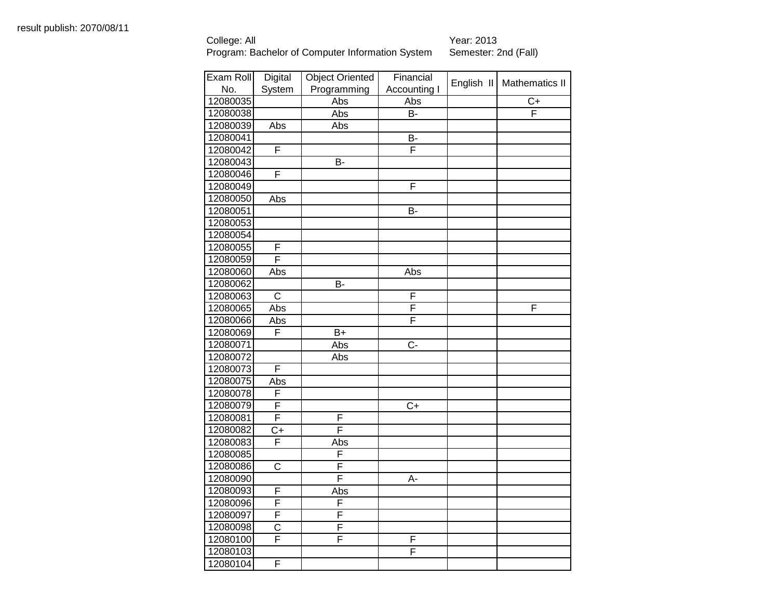| Exam Roll | Digital                 | <b>Object Oriented</b> | Financial               |            |                       |
|-----------|-------------------------|------------------------|-------------------------|------------|-----------------------|
| No.       | System                  | Programming            | Accounting I            | English II | <b>Mathematics II</b> |
| 12080035  |                         | Abs                    | Abs                     |            | $C+$                  |
| 12080038  |                         | Abs                    | $\overline{B}$          |            | F                     |
| 12080039  | Abs                     | Abs                    |                         |            |                       |
| 12080041  |                         |                        | B-                      |            |                       |
| 12080042  | F                       |                        | F                       |            |                       |
| 12080043  |                         | B-                     |                         |            |                       |
| 12080046  | $\overline{\mathsf{F}}$ |                        |                         |            |                       |
| 12080049  |                         |                        | F                       |            |                       |
| 12080050  | Abs                     |                        |                         |            |                       |
| 12080051  |                         |                        | $\overline{B}$          |            |                       |
| 12080053  |                         |                        |                         |            |                       |
| 12080054  |                         |                        |                         |            |                       |
| 12080055  | F                       |                        |                         |            |                       |
| 12080059  | F                       |                        |                         |            |                       |
| 12080060  | Abs                     |                        | Abs                     |            |                       |
| 12080062  |                         | B-                     |                         |            |                       |
| 12080063  | $\overline{C}$          |                        | $\overline{\mathsf{F}}$ |            |                       |
| 12080065  | Abs                     |                        | F                       |            | F                     |
| 12080066  | Abs                     |                        | F                       |            |                       |
| 12080069  | F                       | $B+$                   |                         |            |                       |
| 12080071  |                         | Abs                    | $C -$                   |            |                       |
| 12080072  |                         | Abs                    |                         |            |                       |
| 12080073  | F                       |                        |                         |            |                       |
| 12080075  | Abs                     |                        |                         |            |                       |
| 12080078  | F                       |                        |                         |            |                       |
| 12080079  | F                       |                        | $C+$                    |            |                       |
| 12080081  | F                       | F                      |                         |            |                       |
| 12080082  | $C+$                    | F                      |                         |            |                       |
| 12080083  | F                       | Abs                    |                         |            |                       |
| 12080085  |                         | F                      |                         |            |                       |
| 12080086  | $\overline{C}$          | F                      |                         |            |                       |
| 12080090  |                         | F                      | A-                      |            |                       |
| 12080093  | F                       | Abs                    |                         |            |                       |
| 12080096  | F                       | F                      |                         |            |                       |
| 12080097  | F                       | F                      |                         |            |                       |
| 12080098  | $\overline{\text{C}}$   | F                      |                         |            |                       |
| 12080100  | F                       | F                      | F                       |            |                       |
| 12080103  |                         |                        | F                       |            |                       |
| 12080104  | F                       |                        |                         |            |                       |